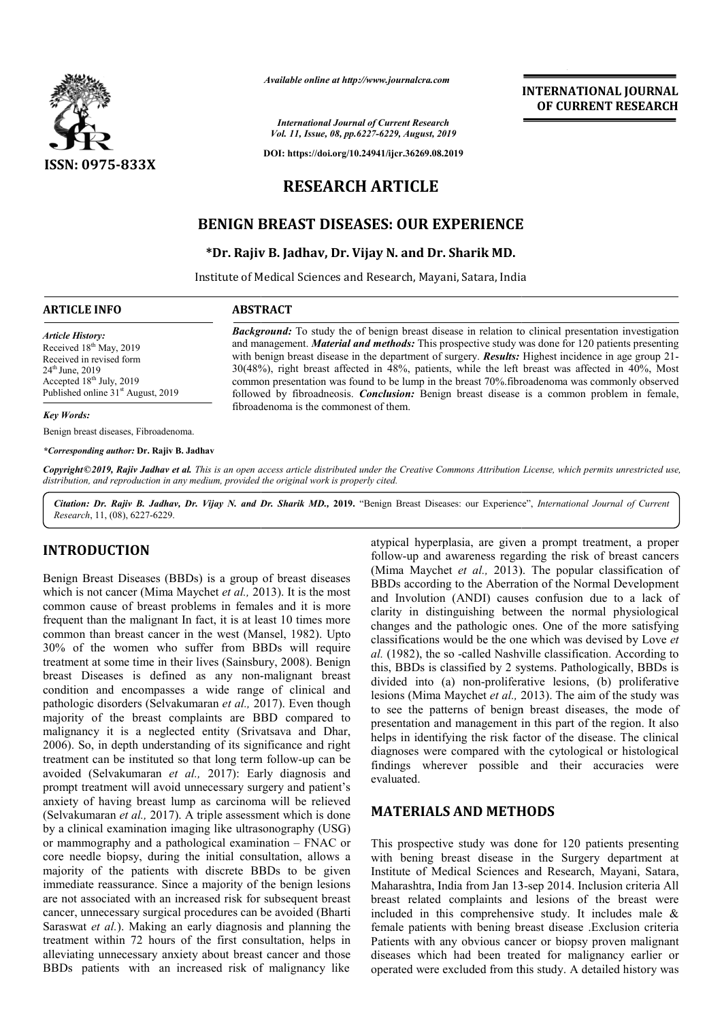

*Available online at http://www.journalcra.com*

*International Journal of Current Research Vol. 11, Issue, 08, pp.6227-6229, August, 2019*

**DOI: https://doi.org/10.24941/ijcr.36269.08.2019**

# **RESEARCH ARTICLE**

## **BENIGN BREAST DISEASES: OUR EXPERIENCE DISEASES: EXPERIENCE**

#### **\*Dr. Rajiv B. Jadhav, Dr. Vijay N. and Dr Dr. Dr. Sharik MD.**

Institute of Medical Sciences and Research, Mayani, Satara, India

#### **ARTICLE INFO ABSTRACT**

*Article History:* Received 18<sup>th</sup> May, 2019 Received in revised form 24<sup>th</sup> June, 2019 Accepted 18<sup>th</sup> July, 2019 Published online  $31<sup>st</sup>$  August, 2019

*Key Words:*

Benign breast diseases, Fibroadenoma.

*\*Corresponding author:* **Dr. Rajiv B. Jadhav**

**Background:** To study the of benign breast disease in relation to clinical presentation investigation and management. *Material and methods:* This prospective study was done for 120 patients presenting and management. *Material and methods*: This prospective study was done for 120 patients presenting with benign breast disease in the department of surgery. *Results*: Highest incidence in age group 21- $30(48%)$ , right breast affected in  $48%$ , patients, while the left breast was affected in  $40%$ , Most common presentation was found to be lump in the breast 70%.fibroadenoma was commonly observed followed by fibroadneosis. *Conclusion*: Benign breast disease is a common problem in female, fibroadenoma is the commonest of them.

Copyright©2019, Rajiv Jadhav et al. This is an open access article distributed under the Creative Commons Attribution License, which permits unrestricted use, *distribution, and reproduction in any medium, provided the original work is properly cited.*

Citation: Dr. Rajiv B. Jadhav, Dr. Vijay N. and Dr. Sharik MD., 2019. "Benign Breast Diseases: our Experience", *International Journal of Current Research*, 11, (08), 6227-6229.

### **INTRODUCTION**

Benign Breast Diseases (BBDs) is a group of breast diseases which is not cancer (Mima Maychet *et al.,* 2013). It is the most common cause of breast problems in females and it is more frequent than the malignant In fact, it is at least 10 times more common than breast cancer in the west (Mansel, 1982). Upto 30% of the women who suffer from BBDs will require 30% of the women who suffer from BBDs will require treatment at some time in their lives (Sainsbury, 2008). Benign breast Diseases is defined as any non-malignant breast condition and encompasses a wide range of clinical and pathologic disorders (Selvakumaran *et al.,* 2017). Even though majority of the breast complaints are BBD compared to malignancy it is a neglected entity (Srivatsava and Dhar, 2006). So, in depth understanding of its significance and right treatment can be instituted so that long term follow-up can be avoided (Selvakumaran *et al.,* 2017): Early diagnosis and prompt treatment will avoid unnecessary surgery and patient's anxiety of having breast lump as carcinoma will be relieved (Selvakumaran *et al.,* 2017). A triple assessment which is done by a clinical examination imaging like ultrasonography (USG) or mammography and a pathological examination core needle biopsy, during the initial consultation, allows a majority of the patients with discrete BBDs to be given immediate reassurance. Since a majority of the benign lesions are not associated with an increased risk for subsequent breast cancer, unnecessary surgical procedures can be avoided (Bharti Saraswat *et al.*). Making an early diagnosis and planning the treatment within 72 hours of the first consultation, helps in alleviating unnecessary anxiety about breast cancer and those BBDs patients with an increased risk of malignancy like : Early diagnosis and<br>y surgery and patient's<br>inoma will be relieved<br>sessment which is done<br>ultrasonography (USG)<br>xamination – FNAC or nsultation, helps in<br>st cancer and those<br>of malignancy like

atypical hyperplasia, are given a prompt treatment, a proper atypical hyperplasia, are given a prompt treatment, a proper<br>follow-up and awareness regarding the risk of breast cancers (Mima Maychet *et al.,* 2013). 2013). The popular classification of BBDs according to the Aberration of the Normal Development and Involution (ANDI) causes confusion due to a lack of clarity in distinguishing between the normal physiological changes and the pathologic ones. One of the more satisfying classifications would be the one which was devised by Love et *al.* (1982), the so -called Nashville classification. According to this, BBDs is classified by 2 systems. Pathologically, BBDs is divided into (a) non-proliferative lesions, (b) proliferative al. (1982), the so-called Nashville classification. According to this, BBDs is classified by 2 systems. Pathologically, BBDs is divided into (a) non-proliferative lesions, (b) proliferative lesions (Mima Maychet *et al.*, to see the patterns of benign breast diseases, the mode of presentation and management in this part of the region. It also helps in identifying the risk factor of the disease. The clinical diagnoses were compared with the cytological or histological findings wherever possible and their accuracies were evaluated. coording to the Aberration of the Normal Development volution (ANDI) causes confusion due to a lack of in distinguishing between the normal physiological and the pathologic ones. One of the more satisfying varions would be patterns of benign breast diseases, the mode of and management in this part of the region. It also ntifying the risk factor of the disease. The clinical

**INTERNATIONAL JOURNAL OF CURRENT RESEARCH**

#### **MATERIALS AND METHODS METHODS**

This prospective study was done for 120 patients presenting with bening breast disease in the Surgery department at Institute of Medical Sciences and Research, Mayani, Satara, Institute of Medical Sciences and Research, Mayani, Satara, Maharashtra, India from Jan 13-sep 2014. Inclusion criteria All breast related complaints and lesions of the breast were included in this comprehensive study. It includes male & female patients with bening breast disease .Exclusion criteria Patients with any obvious cancer or biopsy proven malignant diseases which had been treated for malignancy earlier or operated were excluded from this study. A detailed history was breast related complaints and lesions of<br>included in this comprehensive study. It<br>female patients with bening breast disease<br>Patients with any obvious cancer or biopsy<br>diseases which had been treated for mal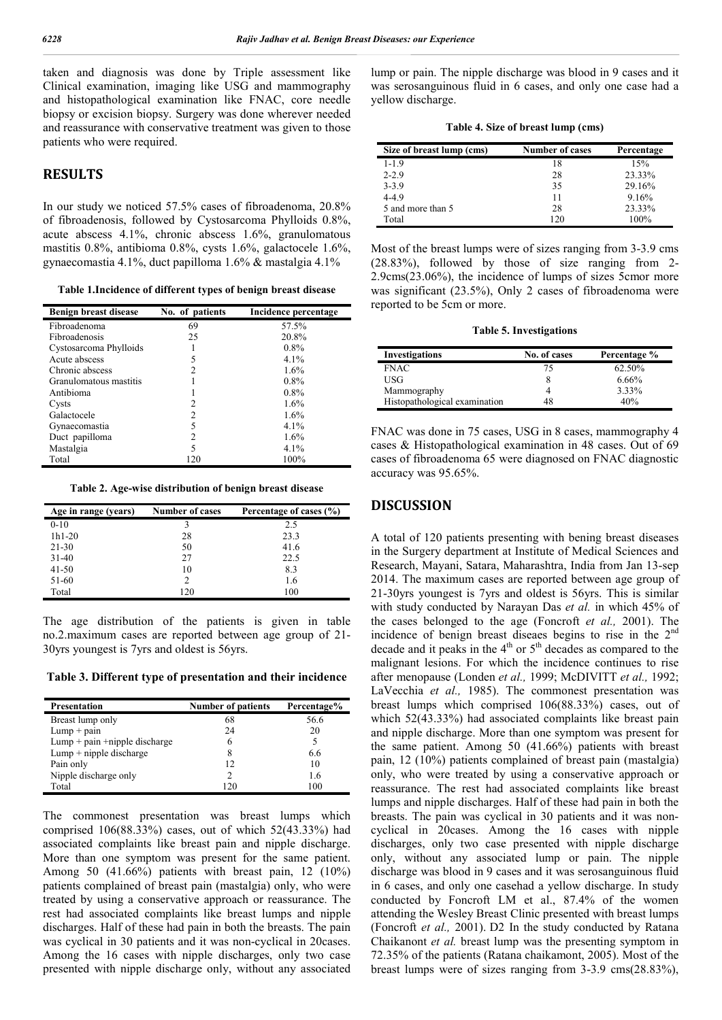taken and diagnosis was done by Triple assessment like Clinical examination, imaging like USG and mammography and histopathological examination like FNAC, core needle biopsy or excision biopsy. Surgery was done wherever needed and reassurance with conservative treatment was given to those patients who were required.

#### **RESULTS**

In our study we noticed 57.5% cases of fibroadenoma, 20.8% of fibroadenosis, followed by Cystosarcoma Phylloids 0.8%, acute abscess 4.1%, chronic abscess 1.6%, granulomatous mastitis 0.8%, antibioma 0.8%, cysts 1.6%, galactocele 1.6%, gynaecomastia 4.1%, duct papilloma 1.6% & mastalgia 4.1%

**Table 1.Incidence of different types of benign breast disease**

| <b>Benign breast disease</b> | No. of patients | Incidence percentage |
|------------------------------|-----------------|----------------------|
| Fibroadenoma                 | 69              | 57.5%                |
| <b>Fibroadenosis</b>         | 25              | 20.8%                |
| Cystosarcoma Phylloids       |                 | $0.8\%$              |
| Acute abscess                |                 | $4.1\%$              |
| Chronic abscess              |                 | 1.6%                 |
| Granulomatous mastitis       |                 | $0.8\%$              |
| Antibioma                    |                 | $0.8\%$              |
| Cysts                        |                 | 1.6%                 |
| Galactocele                  | 2               | 1.6%                 |
| Gynaecomastia                | 5               | $4.1\%$              |
| Duct papilloma               | 2               | 1.6%                 |
| Mastalgia                    | 5               | $4.1\%$              |
| Total                        | 120             | 100%                 |

**Table 2. Age-wise distribution of benign breast disease**

| Age in range (years) | <b>Number of cases</b> | Percentage of cases (%) |
|----------------------|------------------------|-------------------------|
| $0-10$               |                        | 2.5                     |
| $1h1-20$             | 28                     | 23.3                    |
| $21 - 30$            | 50                     | 41.6                    |
| $31-40$              | 27                     | 22.5                    |
| $41 - 50$            | 10                     | 8.3                     |
| 51-60                |                        | 1.6                     |
| Total                | 120                    | 100                     |

The age distribution of the patients is given in table no.2.maximum cases are reported between age group of 21- 30yrs youngest is 7yrs and oldest is 56yrs.

**Table 3. Different type of presentation and their incidence**

| <b>Presentation</b>              | <b>Number of patients</b> | Percentage% |
|----------------------------------|---------------------------|-------------|
| Breast lump only                 | 68                        | 56.6        |
| $Lump + pain$                    | 24                        | 20          |
| $Lump + pain + nipple$ discharge |                           | 5           |
| $Lump + nipple$ discharge        |                           | 66          |
| Pain only                        | 12                        | 10          |
| Nipple discharge only            |                           | 16          |
| Total                            | 120                       | 100         |

The commonest presentation was breast lumps which comprised 106(88.33%) cases, out of which 52(43.33%) had associated complaints like breast pain and nipple discharge. More than one symptom was present for the same patient. Among 50 (41.66%) patients with breast pain, 12 (10%) patients complained of breast pain (mastalgia) only, who were treated by using a conservative approach or reassurance. The rest had associated complaints like breast lumps and nipple discharges. Half of these had pain in both the breasts. The pain was cyclical in 30 patients and it was non-cyclical in 20cases. Among the 16 cases with nipple discharges, only two case presented with nipple discharge only, without any associated

lump or pain. The nipple discharge was blood in 9 cases and it was serosanguinous fluid in 6 cases, and only one case had a yellow discharge.

**Table 4. Size of breast lump (cms)**

| Size of breast lump (cms) | <b>Number of cases</b> | Percentage |
|---------------------------|------------------------|------------|
| $1 - 1.9$                 |                        | 15%        |
| $2 - 2.9$                 | 28                     | 23.33%     |
| $3 - 3.9$                 | 35                     | 29.16%     |
| $4 - 4.9$                 | 11                     | 9.16%      |
| 5 and more than 5         | 28                     | 23.33%     |
| Total                     | 120                    | 100%       |

Most of the breast lumps were of sizes ranging from 3-3.9 cms (28.83%), followed by those of size ranging from 2- 2.9cms(23.06%), the incidence of lumps of sizes 5cmor more was significant (23.5%), Only 2 cases of fibroadenoma were reported to be 5cm or more.

**Table 5. Investigations**

| <b>Investigations</b>         | No. of cases | Percentage % |
|-------------------------------|--------------|--------------|
| <b>FNAC</b>                   | 75           | 62.50%       |
| USG                           |              | 6.66%        |
| Mammography                   |              | 3.33%        |
| Histopathological examination | 48           | 40%          |

FNAC was done in 75 cases, USG in 8 cases, mammography 4 cases & Histopathological examination in 48 cases. Out of 69 cases of fibroadenoma 65 were diagnosed on FNAC diagnostic accuracy was 95.65%.

#### **DISCUSSION**

A total of 120 patients presenting with bening breast diseases in the Surgery department at Institute of Medical Sciences and Research, Mayani, Satara, Maharashtra, India from Jan 13-sep 2014. The maximum cases are reported between age group of 21-30yrs youngest is 7yrs and oldest is 56yrs. This is similar with study conducted by Narayan Das *et al.* in which 45% of the cases belonged to the age (Foncroft *et al.,* 2001). The incidence of benign breast diseaes begins to rise in the  $2<sup>nd</sup>$ decade and it peaks in the  $4<sup>th</sup>$  or  $5<sup>th</sup>$  decades as compared to the malignant lesions. For which the incidence continues to rise after menopause (Londen *et al.,* 1999; McDIVITT *et al.,* 1992; LaVecchia *et al.,* 1985). The commonest presentation was breast lumps which comprised 106(88.33%) cases, out of which 52(43.33%) had associated complaints like breast pain and nipple discharge. More than one symptom was present for the same patient. Among 50 (41.66%) patients with breast pain, 12 (10%) patients complained of breast pain (mastalgia) only, who were treated by using a conservative approach or reassurance. The rest had associated complaints like breast lumps and nipple discharges. Half of these had pain in both the breasts. The pain was cyclical in 30 patients and it was noncyclical in 20cases. Among the 16 cases with nipple discharges, only two case presented with nipple discharge only, without any associated lump or pain. The nipple discharge was blood in 9 cases and it was serosanguinous fluid in 6 cases, and only one casehad a yellow discharge. In study conducted by Foncroft LM et al., 87.4% of the women attending the Wesley Breast Clinic presented with breast lumps (Foncroft *et al.,* 2001). D2 In the study conducted by Ratana Chaikanont *et al.* breast lump was the presenting symptom in 72.35% of the patients (Ratana chaikamont, 2005). Most of the breast lumps were of sizes ranging from 3-3.9 cms(28.83%),